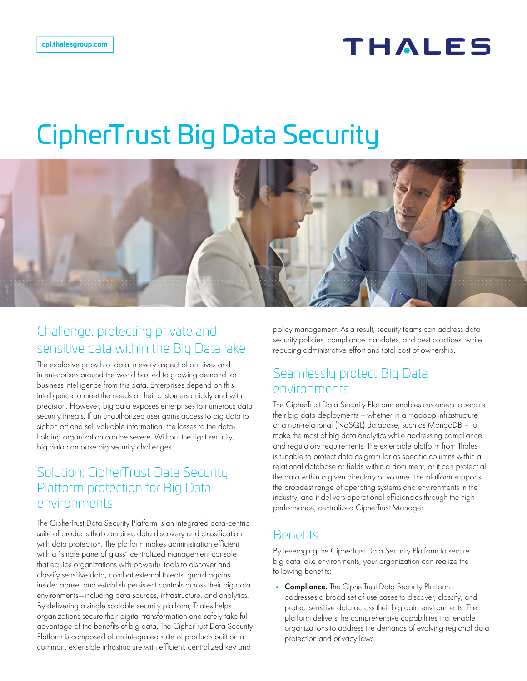## THALES

# CipherTrust Big Data Security



### Challenge: protecting private and sensitive data within the Big Data lake

The explosive growth of data in every aspect of our lives and in enterprises around the world has led to growing demand for business intelligence from this data. Enterprises depend on this intelligence to meet the needs of their customers quickly and with precision. However, big data exposes enterprises to numerous data security threats. If an unauthorized user gains access to big data to siphon off and sell valuable information, the losses to the dataholding organization can be severe. Without the right security, big data can pose big security challenges.

#### Solution: CipherTrust Data Security Platform protection for Big Data environments

The CipherTrust Data Security Platform is an integrated data-centric suite of products that combines data discovery and classification with data protection. The platform makes administration efficient with a "single pane of glass" centralized management console that equips organizations with powerful tools to discover and classify sensitive data, combat external threats, guard against insider abuse, and establish persistent controls across their big data environments—including data sources, infrastructure, and analytics. By delivering a single scalable security platform, Thales helps organizations secure their digital transformation and safely take full advantage of the benefits of big data. The CipherTrust Data Security Platform is composed of an integrated suite of products built on a common, extensible infrastructure with efficient, centralized key and

policy management. As a result, security teams can address data security policies, compliance mandates, and best practices, while reducing administrative effort and total cost of ownership.

#### Seamlessly protect Big Data environments

The CipherTrust Data Security Platform enables customers to secure their big data deployments – whether in a Hadoop infrastructure or a non-relational (NoSQL) database, such as MongoDB – to make the most of big data analytics while addressing compliance and regulatory requirements. The extensible platform from Thales is tunable to protect data as granular as specific columns within a relational database or fields within a document, or it can protect all the data within a given directory or volume. The platform supports the broadest range of operating systems and environments in the industry, and it delivers operational efficiencies through the highperformance, centralized CipherTrust Manager.

#### **Benefits**

By leveraging the CipherTrust Data Security Platform to secure big data lake environments, your organization can realize the following benefits:

• Compliance. The CipherTrust Data Security Platform addresses a broad set of use cases to discover, classify, and protect sensitive data across their big data environments. The platform delivers the comprehensive capabilities that enable organizations to address the demands of evolving regional data protection and privacy laws.